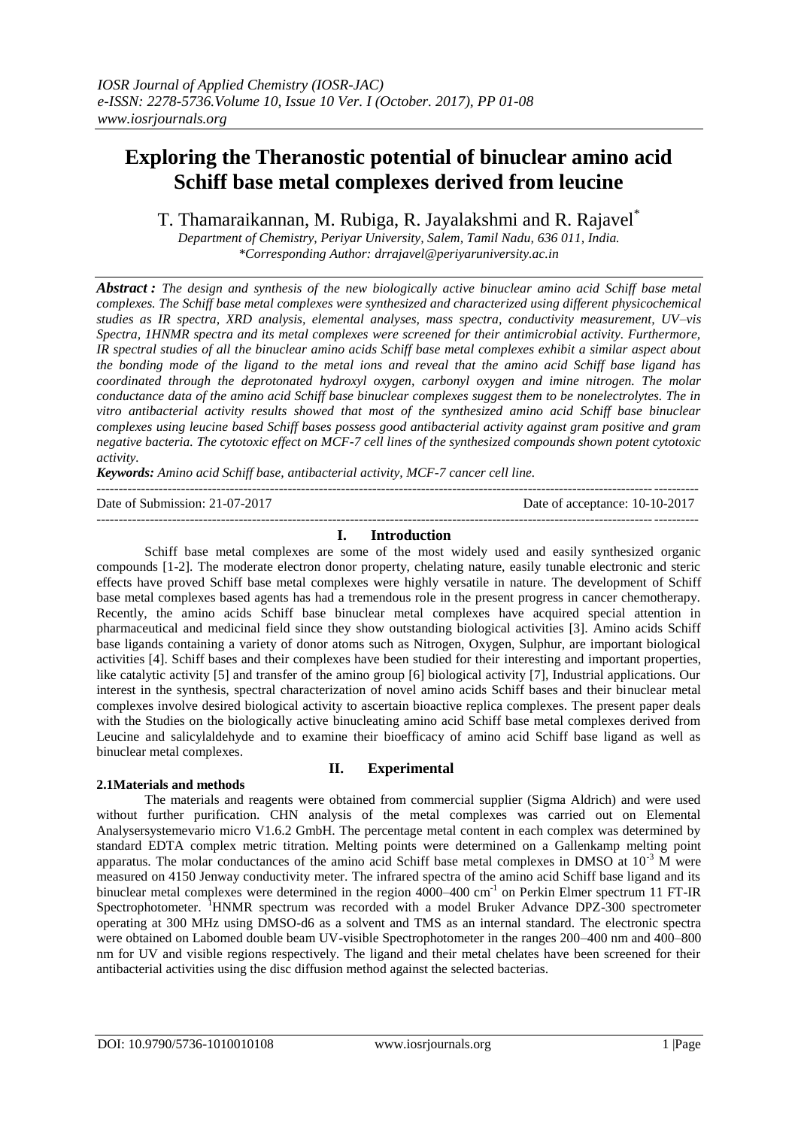# **Exploring the Theranostic potential of binuclear amino acid Schiff base metal complexes derived from leucine**

T. Thamaraikannan, M. Rubiga, R. Jayalakshmi and R. Rajavel\*

*Department of Chemistry, Periyar University, Salem, Tamil Nadu, 636 011, India. \*Corresponding Author: drrajavel@periyaruniversity.ac.in*

*Abstract : The design and synthesis of the new biologically active binuclear amino acid Schiff base metal complexes. The Schiff base metal complexes were synthesized and characterized using different physicochemical studies as IR spectra, XRD analysis, elemental analyses, mass spectra, conductivity measurement, UV–vis Spectra, 1HNMR spectra and its metal complexes were screened for their antimicrobial activity. Furthermore, IR spectral studies of all the binuclear amino acids Schiff base metal complexes exhibit a similar aspect about the bonding mode of the ligand to the metal ions and reveal that the amino acid Schiff base ligand has coordinated through the deprotonated hydroxyl oxygen, carbonyl oxygen and imine nitrogen. The molar conductance data of the amino acid Schiff base binuclear complexes suggest them to be nonelectrolytes. The in vitro antibacterial activity results showed that most of the synthesized amino acid Schiff base binuclear complexes using leucine based Schiff bases possess good antibacterial activity against gram positive and gram negative bacteria. The cytotoxic effect on MCF-7 cell lines of the synthesized compounds shown potent cytotoxic activity.*

*Keywords: Amino acid Schiff base, antibacterial activity, MCF-7 cancer cell line.*

---------------------------------------------------------------------------------------------------------------------------------------

Date of Submission: 21-07-2017 Date of acceptance: 10-10-2017 ---------------------------------------------------------------------------------------------------------------------------------------

## **I. Introduction**

Schiff base metal complexes are some of the most widely used and easily synthesized organic compounds [1-2]. The moderate electron donor property, chelating nature, easily tunable electronic and steric effects have proved Schiff base metal complexes were highly versatile in nature. The development of Schiff base metal complexes based agents has had a tremendous role in the present progress in cancer chemotherapy. Recently, the amino acids Schiff base binuclear metal complexes have acquired special attention in pharmaceutical and medicinal field since they show outstanding biological activities [3]. Amino acids Schiff base ligands containing a variety of donor atoms such as Nitrogen, Oxygen, Sulphur, are important biological activities [4]. Schiff bases and their complexes have been studied for their interesting and important properties, like catalytic activity [5] and transfer of the amino group [6] biological activity [7], Industrial applications. Our interest in the synthesis, spectral characterization of novel amino acids Schiff bases and their binuclear metal complexes involve desired biological activity to ascertain bioactive replica complexes. The present paper deals with the Studies on the biologically active binucleating amino acid Schiff base metal complexes derived from Leucine and salicylaldehyde and to examine their bioefficacy of amino acid Schiff base ligand as well as binuclear metal complexes.

# **2.1Materials and methods**

# **II. Experimental**

The materials and reagents were obtained from commercial supplier (Sigma Aldrich) and were used without further purification. CHN analysis of the metal complexes was carried out on Elemental Analysersystemevario micro V1.6.2 GmbH. The percentage metal content in each complex was determined by standard EDTA complex metric titration. Melting points were determined on a Gallenkamp melting point apparatus. The molar conductances of the amino acid Schiff base metal complexes in DMSO at  $10^{-3}$  M were measured on 4150 Jenway conductivity meter. The infrared spectra of the amino acid Schiff base ligand and its binuclear metal complexes were determined in the region 4000–400 cm<sup>-1</sup> on Perkin Elmer spectrum 11 FT-IR Spectrophotometer. <sup>1</sup>HNMR spectrum was recorded with a model Bruker Advance DPZ-300 spectrometer operating at 300 MHz using DMSO-d6 as a solvent and TMS as an internal standard. The electronic spectra were obtained on Labomed double beam UV-visible Spectrophotometer in the ranges 200–400 nm and 400–800 nm for UV and visible regions respectively. The ligand and their metal chelates have been screened for their antibacterial activities using the disc diffusion method against the selected bacterias.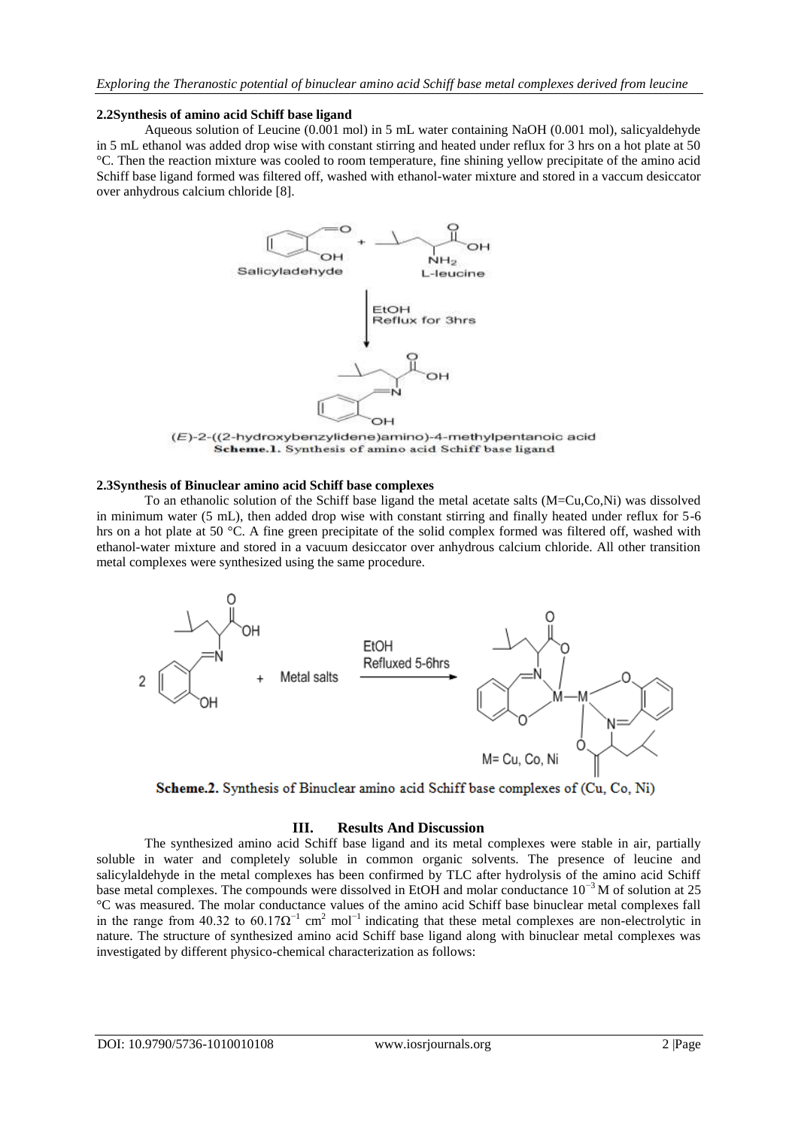#### **2.2Synthesis of amino acid Schiff base ligand**

Aqueous solution of Leucine (0.001 mol) in 5 mL water containing NaOH (0.001 mol), salicyaldehyde in 5 mL ethanol was added drop wise with constant stirring and heated under reflux for 3 hrs on a hot plate at 50 °C. Then the reaction mixture was cooled to room temperature, fine shining yellow precipitate of the amino acid Schiff base ligand formed was filtered off, washed with ethanol-water mixture and stored in a vaccum desiccator over anhydrous calcium chloride [8].



(E)-2-((2-hydroxybenzylidene)amino)-4-methylpentanoic acid Scheme.1. Synthesis of amino acid Schiff base ligand

#### **2.3Synthesis of Binuclear amino acid Schiff base complexes**

To an ethanolic solution of the Schiff base ligand the metal acetate salts (M=Cu,Co,Ni) was dissolved in minimum water (5 mL), then added drop wise with constant stirring and finally heated under reflux for 5-6 hrs on a hot plate at 50 °C. A fine green precipitate of the solid complex formed was filtered off, washed with ethanol-water mixture and stored in a vacuum desiccator over anhydrous calcium chloride. All other transition metal complexes were synthesized using the same procedure.





## **III. Results And Discussion**

The synthesized amino acid Schiff base ligand and its metal complexes were stable in air, partially soluble in water and completely soluble in common organic solvents. The presence of leucine and salicylaldehyde in the metal complexes has been confirmed by TLC after hydrolysis of the amino acid Schiff base metal complexes. The compounds were dissolved in EtOH and molar conductance 10−3 M of solution at 25 °C was measured. The molar conductance values of the amino acid Schiff base binuclear metal complexes fall in the range from 40.32 to  $60.17\Omega^{-1}$  cm<sup>2</sup> mol<sup>-1</sup> indicating that these metal complexes are non-electrolytic in nature. The structure of synthesized amino acid Schiff base ligand along with binuclear metal complexes was investigated by different physico-chemical characterization as follows: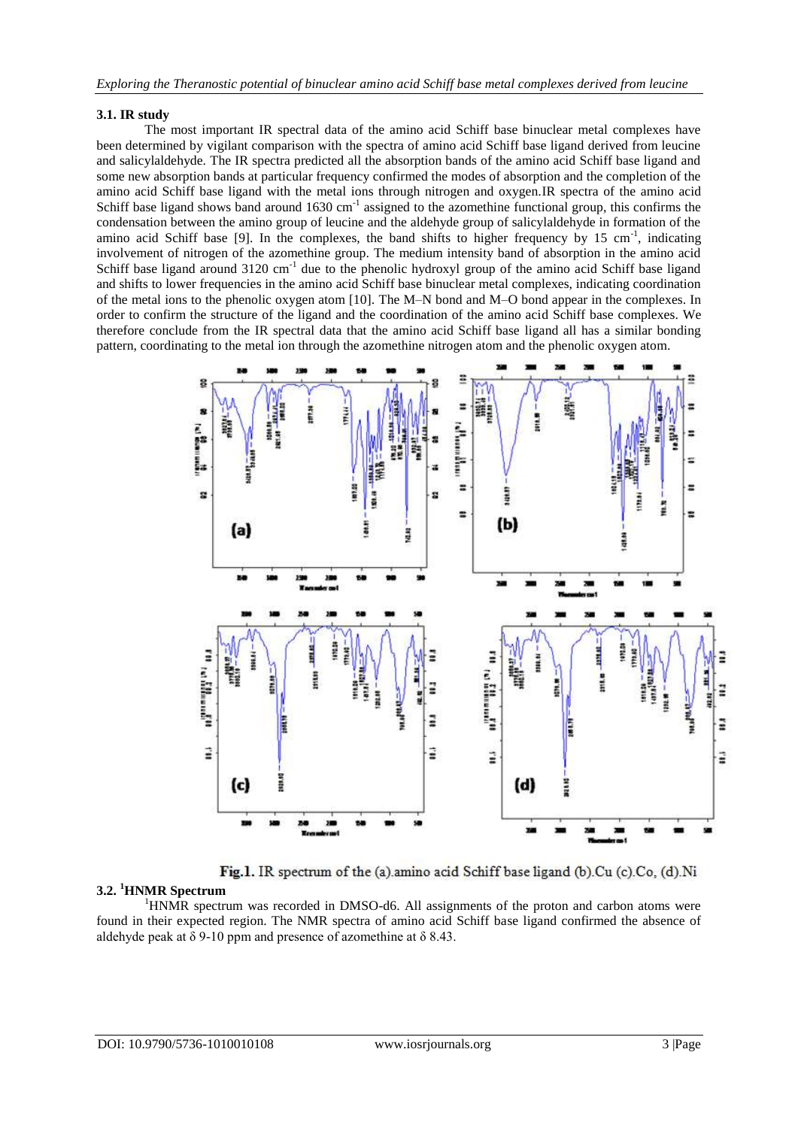## **3.1. IR study**

The most important IR spectral data of the amino acid Schiff base binuclear metal complexes have been determined by vigilant comparison with the spectra of amino acid Schiff base ligand derived from leucine and salicylaldehyde. The IR spectra predicted all the absorption bands of the amino acid Schiff base ligand and some new absorption bands at particular frequency confirmed the modes of absorption and the completion of the amino acid Schiff base ligand with the metal ions through nitrogen and oxygen.IR spectra of the amino acid Schiff base ligand shows band around  $1630 \text{ cm}^{-1}$  assigned to the azomethine functional group, this confirms the condensation between the amino group of leucine and the aldehyde group of salicylaldehyde in formation of the amino acid Schiff base [9]. In the complexes, the band shifts to higher frequency by 15 cm<sup>-1</sup>, indicating involvement of nitrogen of the azomethine group. The medium intensity band of absorption in the amino acid Schiff base ligand around 3120 cm<sup>-1</sup> due to the phenolic hydroxyl group of the amino acid Schiff base ligand and shifts to lower frequencies in the amino acid Schiff base binuclear metal complexes, indicating coordination of the metal ions to the phenolic oxygen atom [10]. The M–N bond and M–O bond appear in the complexes. In order to confirm the structure of the ligand and the coordination of the amino acid Schiff base complexes. We therefore conclude from the IR spectral data that the amino acid Schiff base ligand all has a similar bonding pattern, coordinating to the metal ion through the azomethine nitrogen atom and the phenolic oxygen atom.



Fig.1. IR spectrum of the (a) amino acid Schiff base ligand (b).Cu (c).Co, (d).Ni

# **3.2. <sup>1</sup>HNMR Spectrum**

<sup>1</sup>HNMR spectrum was recorded in DMSO-d6. All assignments of the proton and carbon atoms were found in their expected region. The NMR spectra of amino acid Schiff base ligand confirmed the absence of aldehyde peak at  $\delta$  9-10 ppm and presence of azomethine at  $\delta$  8.43.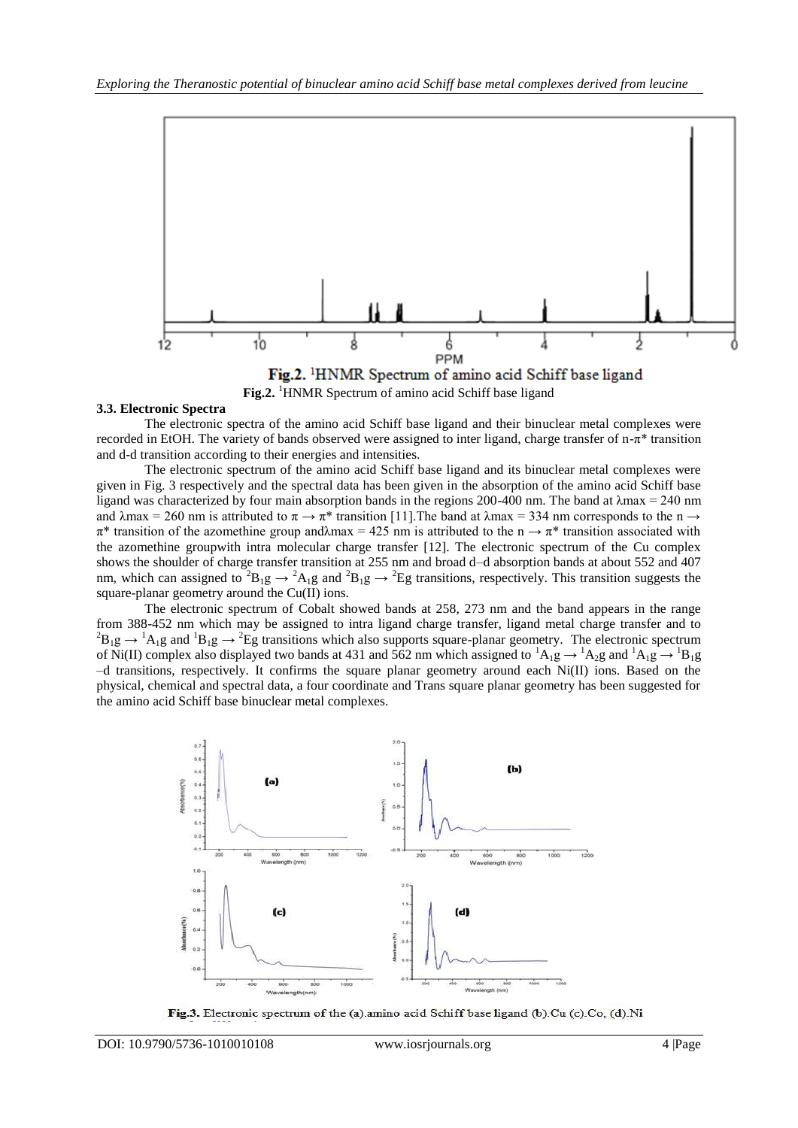

Fig.2. <sup>1</sup>HNMR Spectrum of amino acid Schiff base ligand Fig.2. <sup>1</sup>HNMR Spectrum of amino acid Schiff base ligand

#### **3.3. Electronic Spectra**

The electronic spectra of the amino acid Schiff base ligand and their binuclear metal complexes were recorded in EtOH. The variety of bands observed were assigned to inter ligand, charge transfer of  $n-\pi^*$  transition and d-d transition according to their energies and intensities.

The electronic spectrum of the amino acid Schiff base ligand and its binuclear metal complexes were given in Fig. 3 respectively and the spectral data has been given in the absorption of the amino acid Schiff base ligand was characterized by four main absorption bands in the regions 200-400 nm. The band at λmax = 240 nm and  $\lambda$ max = 260 nm is attributed to  $\pi \to \pi^*$  transition [11]. The band at  $\lambda$ max = 334 nm corresponds to the n  $\to$  $\pi^*$  transition of the azomethine group and  $\lambda$ max = 425 nm is attributed to the n  $\rightarrow \pi^*$  transition associated with the azomethine groupwith intra molecular charge transfer [12]. The electronic spectrum of the Cu complex shows the shoulder of charge transfer transition at 255 nm and broad d–d absorption bands at about 552 and 407 nm, which can assigned to <sup>2</sup>B<sub>1</sub>g  $\rightarrow$  <sup>2</sup>A<sub>1</sub>g and <sup>2</sup>B<sub>1</sub>g  $\rightarrow$  <sup>2</sup>Eg transitions, respectively. This transition suggests the square-planar geometry around the Cu(II) ions.

The electronic spectrum of Cobalt showed bands at 258, 273 nm and the band appears in the range from 388-452 nm which may be assigned to intra ligand charge transfer, ligand metal charge transfer and to  ${}^{2}B_{1}g \rightarrow {}^{1}A_{1}g$  and  ${}^{1}B_{1}g \rightarrow {}^{2}Eg$  transitions which also supports square-planar geometry. The electronic spectrum of Ni(II) complex also displayed two bands at 431 and 562 nm which assigned to  ${}^{1}A_{1}g \rightarrow {}^{1}A_{2}g$  and  ${}^{1}A_{1}g \rightarrow {}^{1}B_{1}g$ –d transitions, respectively. It confirms the square planar geometry around each Ni(II) ions. Based on the physical, chemical and spectral data, a four coordinate and Trans square planar geometry has been suggested for the amino acid Schiff base binuclear metal complexes.



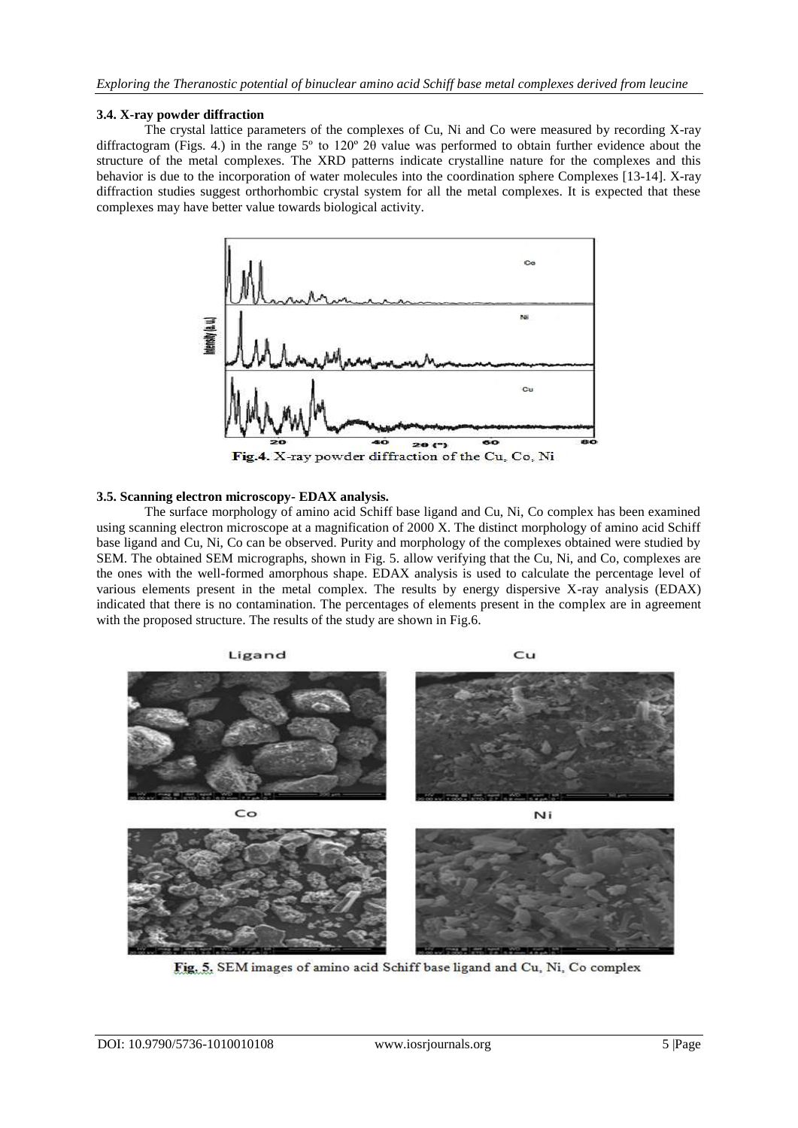## **3.4. X-ray powder diffraction**

The crystal lattice parameters of the complexes of Cu, Ni and Co were measured by recording X-ray diffractogram (Figs. 4.) in the range 5º to 120º 2θ value was performed to obtain further evidence about the structure of the metal complexes. The XRD patterns indicate crystalline nature for the complexes and this behavior is due to the incorporation of water molecules into the coordination sphere Complexes [13-14]. X-ray diffraction studies suggest orthorhombic crystal system for all the metal complexes. It is expected that these complexes may have better value towards biological activity.



Fig.4. X-ray powder diffraction of the Cu, Co, Ni

## **3.5. Scanning electron microscopy- EDAX analysis.**

The surface morphology of amino acid Schiff base ligand and Cu, Ni, Co complex has been examined using scanning electron microscope at a magnification of 2000 X. The distinct morphology of amino acid Schiff base ligand and Cu, Ni, Co can be observed. Purity and morphology of the complexes obtained were studied by SEM. The obtained SEM micrographs, shown in Fig. 5. allow verifying that the Cu, Ni, and Co, complexes are the ones with the well-formed amorphous shape. EDAX analysis is used to calculate the percentage level of various elements present in the metal complex. The results by energy dispersive X-ray analysis (EDAX) indicated that there is no contamination. The percentages of elements present in the complex are in agreement with the proposed structure. The results of the study are shown in Fig.6.



Fig. 5. SEM images of amino acid Schiff base ligand and Cu, Ni, Co complex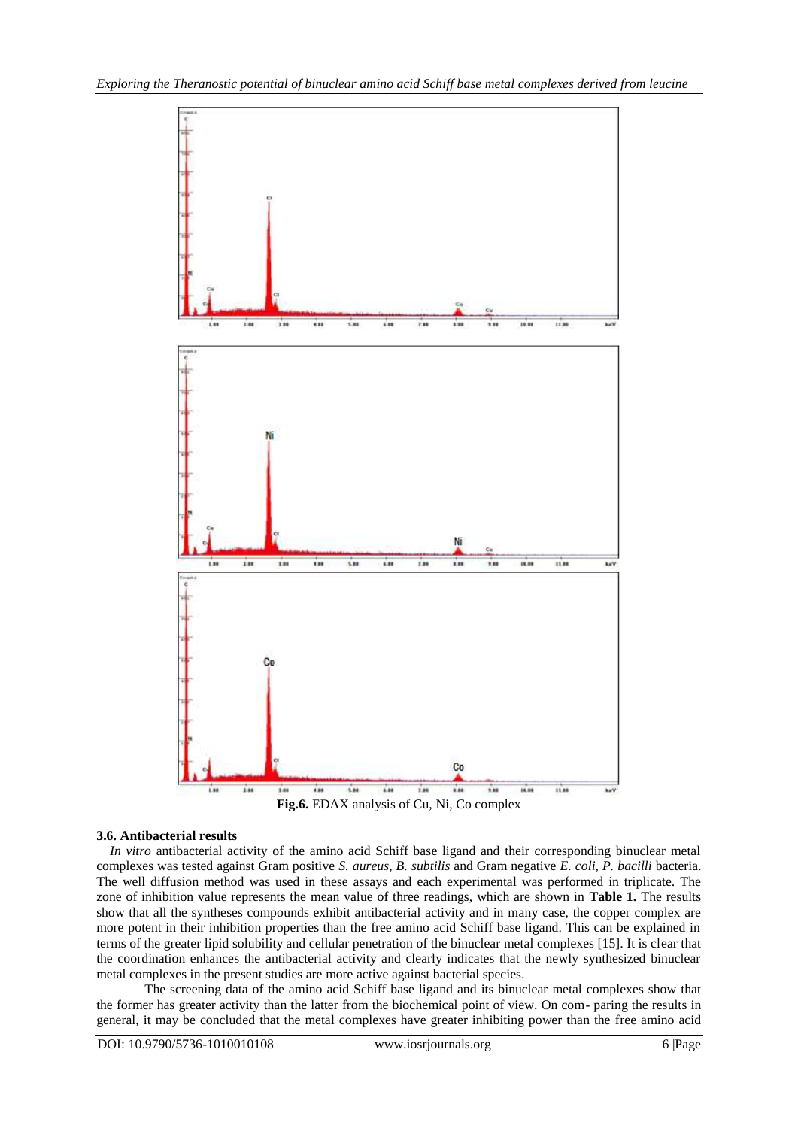

#### **3.6. Antibacterial results**

*In vitro* antibacterial activity of the amino acid Schiff base ligand and their corresponding binuclear metal complexes was tested against Gram positive *S. aureus, B. subtilis* and Gram negative *E. coli, P. bacilli* bacteria. The well diffusion method was used in these assays and each experimental was performed in triplicate. The zone of inhibition value represents the mean value of three readings, which are shown in **Table 1.** The results show that all the syntheses compounds exhibit antibacterial activity and in many case, the copper complex are more potent in their inhibition properties than the free amino acid Schiff base ligand. This can be explained in terms of the greater lipid solubility and cellular penetration of the binuclear metal complexes [15]. It is clear that the coordination enhances the antibacterial activity and clearly indicates that the newly synthesized binuclear metal complexes in the present studies are more active against bacterial species.

The screening data of the amino acid Schiff base ligand and its binuclear metal complexes show that the former has greater activity than the latter from the biochemical point of view. On com- paring the results in general, it may be concluded that the metal complexes have greater inhibiting power than the free amino acid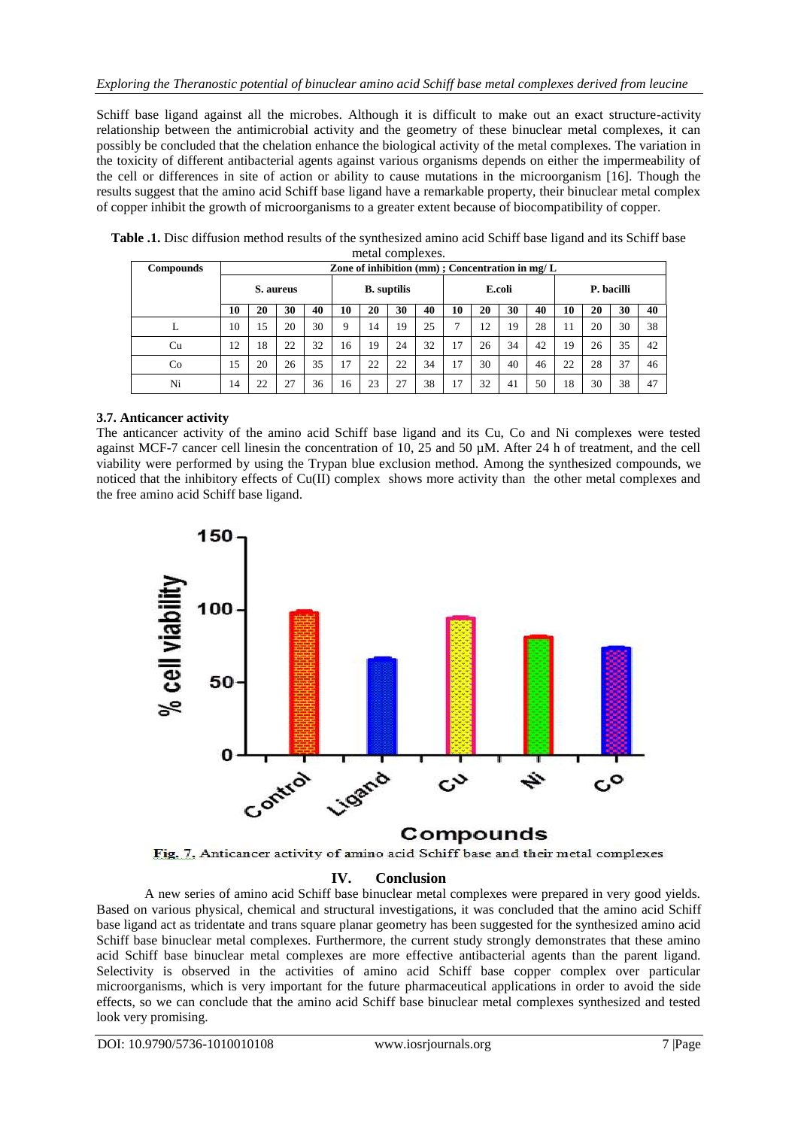Schiff base ligand against all the microbes. Although it is difficult to make out an exact structure-activity relationship between the antimicrobial activity and the geometry of these binuclear metal complexes, it can possibly be concluded that the chelation enhance the biological activity of the metal complexes. The variation in the toxicity of different antibacterial agents against various organisms depends on either the impermeability of the cell or differences in site of action or ability to cause mutations in the microorganism [16]. Though the results suggest that the amino acid Schiff base ligand have a remarkable property, their binuclear metal complex of copper inhibit the growth of microorganisms to a greater extent because of biocompatibility of copper.

| <b>Compounds</b> | Zone of inhibition $(nm)$ ; Concentration in $mg/L$ |    |    |    |                    |    |    |    |        |    |    |    |            |    |    |    |
|------------------|-----------------------------------------------------|----|----|----|--------------------|----|----|----|--------|----|----|----|------------|----|----|----|
|                  | S. aureus                                           |    |    |    | <b>B.</b> suptilis |    |    |    | E.coli |    |    |    | P. bacilli |    |    |    |
|                  | 10                                                  | 20 | 30 | 40 | 10                 | 20 | 30 | 40 | 10     | 20 | 30 | 40 | 10         | 20 | 30 | 40 |
| L                | 10                                                  | 15 | 20 | 30 | 9                  | 14 | 19 | 25 | ⇁      | 12 | 19 | 28 |            | 20 | 30 | 38 |
| Cu               | 12                                                  | 18 | 22 | 32 | 16                 | 19 | 24 | 32 | 17     | 26 | 34 | 42 | 19         | 26 | 35 | 42 |
| Co               | 15                                                  | 20 | 26 | 35 | 17                 | 22 | 22 | 34 | 17     | 30 | 40 | 46 | 22         | 28 | 37 | 46 |
| Ni               | 14                                                  | 22 | 27 | 36 | 16                 | 23 | 27 | 38 | 17     | 32 | 41 | 50 | 18         | 30 | 38 | 47 |

**Table .1.** Disc diffusion method results of the synthesized amino acid Schiff base ligand and its Schiff base metal complexes.

# **3.7. Anticancer activity**

The anticancer activity of the amino acid Schiff base ligand and its Cu, Co and Ni complexes were tested against MCF-7 cancer cell linesin the concentration of 10, 25 and 50 µM. After 24 h of treatment, and the cell viability were performed by using the Trypan blue exclusion method. Among the synthesized compounds, we noticed that the inhibitory effects of Cu(II) complex shows more activity than the other metal complexes and the free amino acid Schiff base ligand.



Fig. 7. Anticancer activity of amino acid Schiff base and their metal complexes

# **IV. Conclusion**

A new series of amino acid Schiff base binuclear metal complexes were prepared in very good yields. Based on various physical, chemical and structural investigations, it was concluded that the amino acid Schiff base ligand act as tridentate and trans square planar geometry has been suggested for the synthesized amino acid Schiff base binuclear metal complexes. Furthermore, the current study strongly demonstrates that these amino acid Schiff base binuclear metal complexes are more effective antibacterial agents than the parent ligand. Selectivity is observed in the activities of amino acid Schiff base copper complex over particular microorganisms, which is very important for the future pharmaceutical applications in order to avoid the side effects, so we can conclude that the amino acid Schiff base binuclear metal complexes synthesized and tested look very promising.